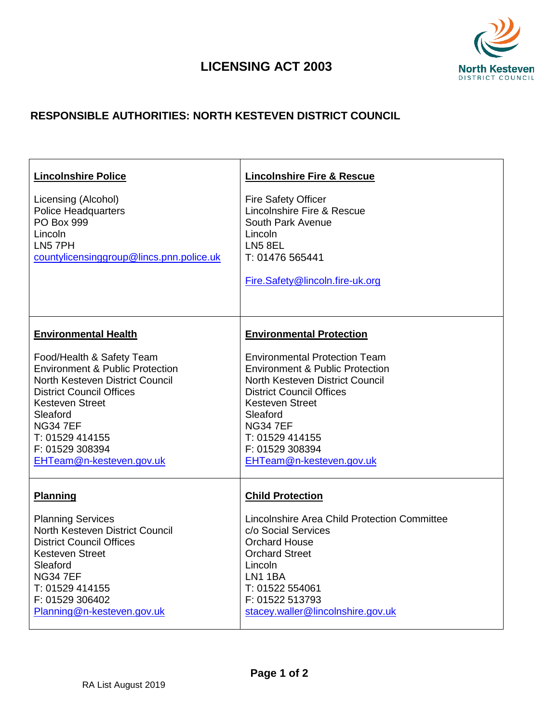## **LICENSING ACT 2003**



## **RESPONSIBLE AUTHORITIES: NORTH KESTEVEN DISTRICT COUNCIL**

| <b>Lincolnshire Police</b>                                                                                                                                                                                                                                              | <b>Lincolnshire Fire &amp; Rescue</b>                                                                                                                                                                                                                                              |
|-------------------------------------------------------------------------------------------------------------------------------------------------------------------------------------------------------------------------------------------------------------------------|------------------------------------------------------------------------------------------------------------------------------------------------------------------------------------------------------------------------------------------------------------------------------------|
| Licensing (Alcohol)<br>Police Headquarters<br>PO Box 999<br>Lincoln<br>LN5 7PH<br>countylicensinggroup@lincs.pnn.police.uk                                                                                                                                              | <b>Fire Safety Officer</b><br>Lincolnshire Fire & Rescue<br>South Park Avenue<br>Lincoln<br><b>LN5 8EL</b><br>T: 01476 565441<br>Fire.Safety@lincoln.fire-uk.org                                                                                                                   |
| <b>Environmental Health</b>                                                                                                                                                                                                                                             | <b>Environmental Protection</b>                                                                                                                                                                                                                                                    |
| Food/Health & Safety Team<br><b>Environment &amp; Public Protection</b><br>North Kesteven District Council<br><b>District Council Offices</b><br><b>Kesteven Street</b><br>Sleaford<br><b>NG347EF</b><br>T: 01529 414155<br>F: 01529 308394<br>EHTeam@n-kesteven.gov.uk | <b>Environmental Protection Team</b><br><b>Environment &amp; Public Protection</b><br>North Kesteven District Council<br><b>District Council Offices</b><br><b>Kesteven Street</b><br>Sleaford<br><b>NG347EF</b><br>T: 01529 414155<br>F: 01529 308394<br>EHTeam@n-kesteven.gov.uk |
| <b>Planning</b>                                                                                                                                                                                                                                                         | <b>Child Protection</b>                                                                                                                                                                                                                                                            |
| <b>Planning Services</b><br>North Kesteven District Council<br><b>District Council Offices</b><br><b>Kesteven Street</b><br>Sleaford<br><b>NG347EF</b><br>T: 01529 414155<br>F: 01529 306402<br>Planning@n-kesteven.gov.uk                                              | Lincolnshire Area Child Protection Committee<br>c/o Social Services<br><b>Orchard House</b><br><b>Orchard Street</b><br>Lincoln<br>LN1 1BA<br>T: 01522 554061<br>F: 01522 513793<br>stacey.waller@lincolnshire.gov.uk                                                              |